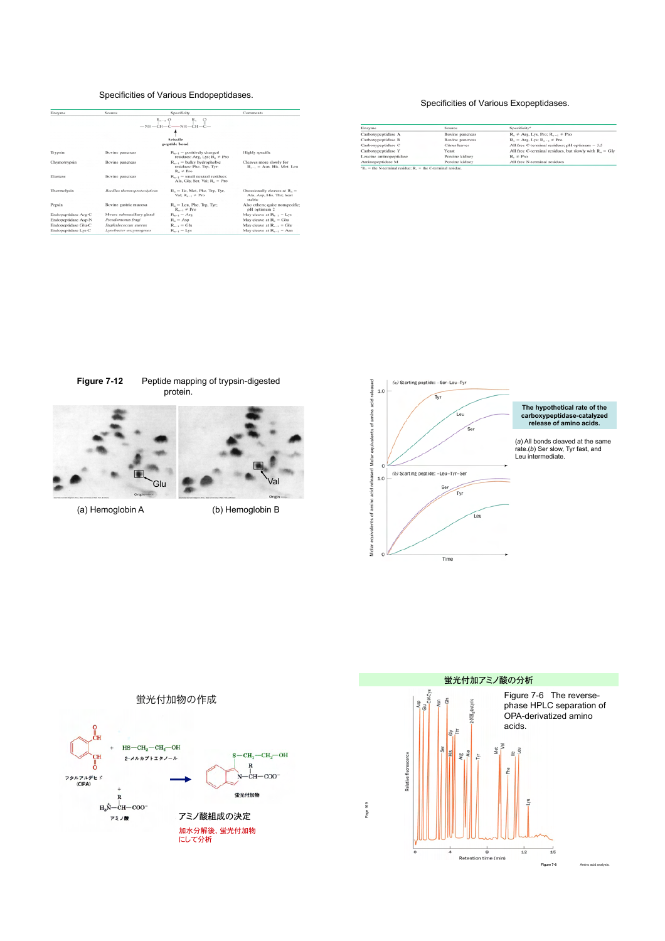# Specificities of Various Endopeptidases.

| Enzyme              | Source                       | Specificity                                                                     | Comments                                                              |
|---------------------|------------------------------|---------------------------------------------------------------------------------|-----------------------------------------------------------------------|
|                     |                              | $R_{n-1}$ $0$ $R_n$ $0$<br>-NH-CH-C-NH-CH-C-                                    |                                                                       |
|                     |                              |                                                                                 |                                                                       |
|                     |                              | Scissile                                                                        |                                                                       |
|                     |                              | peptide bond                                                                    |                                                                       |
| Trypsin             | Bovine pancreas              | $R_{n-1}$ = positively charged<br>residues: Arg, Lys; R <sub>n</sub> $\neq$ Pro | Highly specific                                                       |
| Chymotrypsin        | Bovine pancreas              | $R_{n-1}$ = bulky hydrophobic<br>residues: Phe, Trp, Tyr;<br>$R_- \neq Pro$     | Cleaves more slowly for<br>$R_{n-1}$ = Asn, His, Met, Leu             |
| Elastase            | Bovine pancreas              | $R_{n-1}$ = small neutral residues:<br>Ala, Gly, Ser, Val; R. = Pro             |                                                                       |
| Thermolysin         | Bacillus thermoproteolyticus | $Rn$ = Ile, Met, Phe, Trp, Tyr,<br>Val: $R_{n-1} \neq P$ ro                     | Occasionally cleaves at $R_2 =$<br>Ala, Asp. His, Thr; heat<br>stable |
| Pepsin              | Bovine gastric mucosa        | $R_n =$ Leu, Phe, Trp, Tyr;<br>$R_{n-1}$ $\not\vdash$ Pro                       | Also others; quite nonspecific;<br>pH optimum 2                       |
| Endopeptidase Arg-C | Mouse submaxillary gland     | $R_{n-1} = \text{Arg}$                                                          | May cleave at $R_{n-1} = Lys$                                         |
| Endopeptidase Asp-N | Pseudomonas fragi            | $R_{-}$ = Asp                                                                   | May cleave at $R_-=Glu$                                               |
| Endopeptidase Glu-C | Staphylococcus aureus        | $R_{n+1} = Glu$                                                                 | May cleave at $R_{n-1} = Gly$                                         |
| Endopeptidase Lys-C | Lysobacter enzymogenes       | $R_{n-1} = Lys$                                                                 | May cleave at $R_{n-1} = A$ sn                                        |

# Specificities of Various Exopeptidases.

| Enzyme                 | Source          | Specificity"                                             |
|------------------------|-----------------|----------------------------------------------------------|
| Carboxypeptidase A     | Bovine pancreas | $R_{-}$ $\neq$ Arg, Lys, Pro; $R_{n-1}$ $\neq$ Pro       |
| Carboxypeptidase B     | Bovine pancreas | $R_n = Arg$ , Lys; $R_{n-1} \neq Pro$                    |
| Carboxypeptidase C     | Citrus leaves   | All free C-terminal residues; pH optimum $= 3.5$         |
| Carboxypeptidase Y     | Yeast           | All free C-terminal residues, but slowly with $Rn = Gly$ |
| Leucine aminopeptidase | Porcine kidney  | $R_1 \neq Pro$                                           |
| Aminopeptidase M       | Porcine kidney  | All free N-terminal residues                             |

**Figure 7-12** Peptide mapping of trypsin-digested protein.



Glu **Val** 

(a) Hemoglobin A (b) Hemoglobin B





# 蛍光付加物の作成

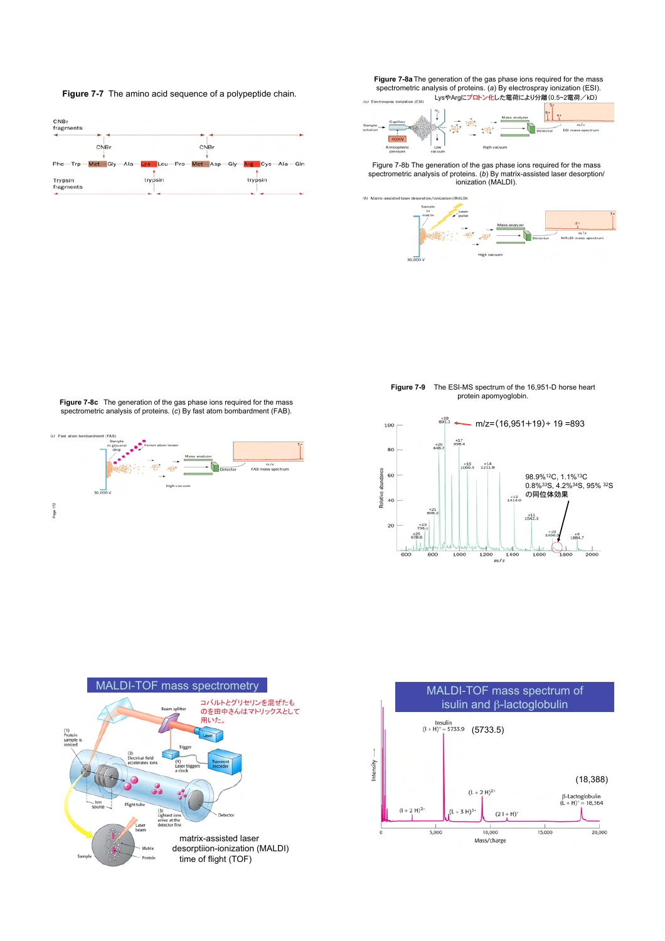**Figure 7-7** The amino acid sequence of a polypeptide chain.



**Figure 7-8a**The generation of the gas phase ions required for the mass spectrometric analysis of proteins. (*a*) By electrospray ionization (ESI). -<br>LysやArgにプロトン化した電荷により分離(0.5~2電荷/kD)



Figure 7-8b The generation of the gas phase ions required for the mass spectrometric analysis of proteins. (*b*) By matrix-assisted laser desorption/ ionization (MALDI).



**Figure 7-8c** The generation of the gas phase ions required for the mass spectrometric analysis of proteins. (*c*) By fast atom bombardment (FAB).



**Figure 7-9** The ESI-MS spectrum of the 16,951-D horse heart protein apomyoglobin.





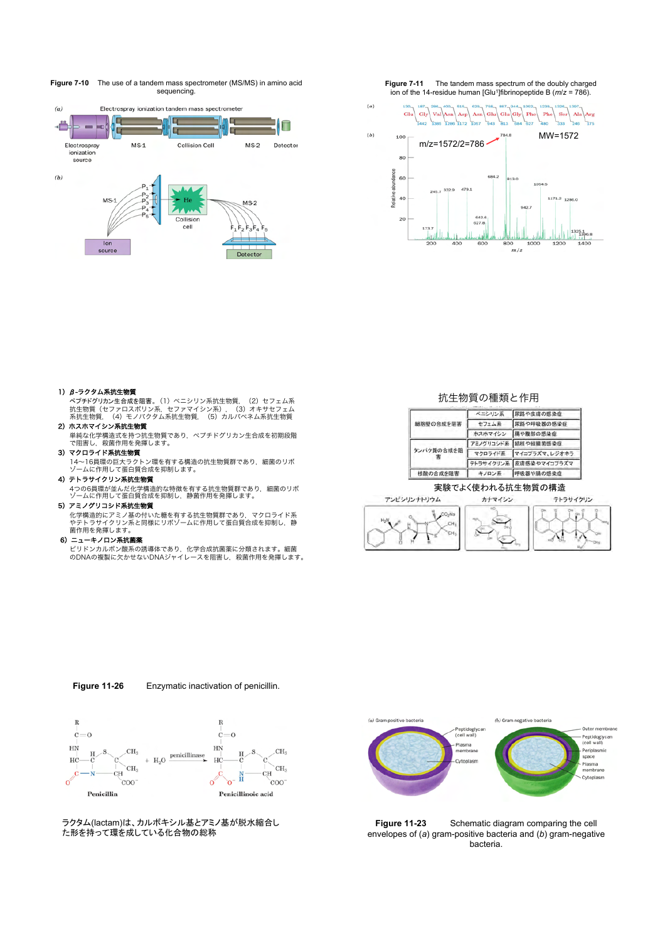**Figure 7-10** The use of a tandem mass spectrometer (MS/MS) in amino acid sequencing.







# 1)  $β - 5$ クタム系抗生物質

ペプチドグリカン生合成を阻害。(1)ペニシリン系抗生物質, (2)セフェム系<br>抗生物質(セファロスポリン系, セファマイシン系), (3)オルバキサセフェム<br>系抗生物質, (4)モノバクタム系抗生物質, (5)カルバベネム系抗生物質

- 2)ホスホマイシン系抗生物質 単純な化学構造式を持つ抗生物質であり,ペプチドグリカン生合成を初期段階 で阻害し,殺菌作用を発揮します。
- 3)マクロライド系抗生物質

14~16員環の巨大ラクトン環を有する構造の抗生物質群であり,細菌のリボ ゾームに作用して蛋白質合成を抑制します。

#### 4)テトラサイクリン系抗生物質

4つの6員環が並んだ化学構造的な特徴を有する抗生物質群であり,細菌のリボ ゾームに作用して蛋白質合成を抑制し,静菌作用を発揮します。 5)アミノグリコシド系抗生物質

化学構造的にアミノ基の付いた糖を有する抗生物質群であり,マクロライド系<br>やテトラサイクリン系と同様にリボゾームに作用して蛋白質合成を抑制し,静 菌作用を発揮します。

#### 6)ニューキノロン系抗菌薬

ビリドンカルボン酸系の誘導体であり,化学合成抗菌薬に分類されます。細菌<br>のDNAの複製に欠かせないDNAジャイレースを阻害し,殺菌作用を発揮します。

### 抗生物質の種類と作用

|            | ベニシリン系  | 尿路や皮膚の感染症              |
|------------|---------|------------------------|
| 細胞壁の合成を阻害  | セフェム系   | 尿路や呼吸器の感染症             |
|            | ホスホマイシン | 腸や腹部の感染症               |
|            |         | アミノグリコシド系 結核や緑膿菌感染症    |
| タンパク質の合成を阻 |         | マクロライド系 マイコプラズマ、レジオネラ  |
|            |         | テトラサイクリン系 皮膚感染やマイコブラズマ |
| 核酸の合成を阻害   | キノロン系   | 呼吸器や腸の感染症              |

# 実験でよく使われる抗生物質の構造



**Figure 11-26** Enzymatic inactivation of penicillin.



ラクタム(lactam)は、カルボキシル基とアミノ基が脱水縮合し た形を持って環を成している化合物の総称



**Figure 11-23** Schematic diagram comparing the cell envelopes of (*a*) gram-positive bacteria and (*b*) gram-negative bacteria.